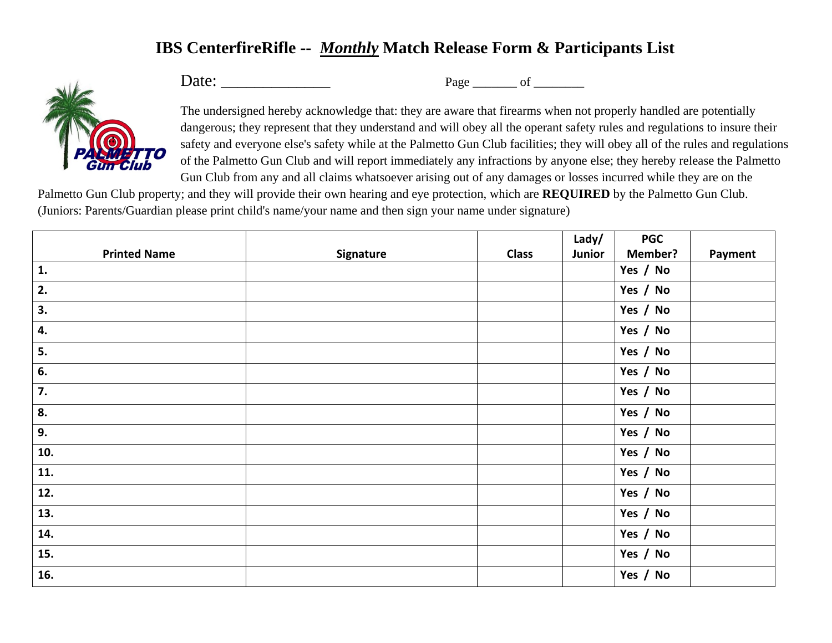## **IBS CenterfireRifle --** *Monthly* **Match Release Form & Participants List**



Date: \_\_\_\_\_\_\_\_\_\_\_\_\_ Page \_\_\_\_\_\_\_ of \_\_\_\_\_\_\_\_

The undersigned hereby acknowledge that: they are aware that firearms when not properly handled are potentially dangerous; they represent that they understand and will obey all the operant safety rules and regulations to insure their safety and everyone else's safety while at the Palmetto Gun Club facilities; they will obey all of the rules and regulations of the Palmetto Gun Club and will report immediately any infractions by anyone else; they hereby release the Palmetto Gun Club from any and all claims whatsoever arising out of any damages or losses incurred while they are on the

Palmetto Gun Club property; and they will provide their own hearing and eye protection, which are **REQUIRED** by the Palmetto Gun Club. (Juniors: Parents/Guardian please print child's name/your name and then sign your name under signature)

|                     |           |              | Lady/  | <b>PGC</b> |         |
|---------------------|-----------|--------------|--------|------------|---------|
| <b>Printed Name</b> | Signature | <b>Class</b> | Junior | Member?    | Payment |
| 1.                  |           |              |        | Yes / No   |         |
| 2.                  |           |              |        | Yes / No   |         |
| 3.                  |           |              |        | Yes / No   |         |
| 4.                  |           |              |        | Yes / No   |         |
| 5.                  |           |              |        | Yes / No   |         |
| 6.                  |           |              |        | Yes / No   |         |
| 7.                  |           |              |        | Yes / No   |         |
| 8.                  |           |              |        | Yes / No   |         |
| 9.                  |           |              |        | Yes / No   |         |
| 10.                 |           |              |        | Yes / No   |         |
| 11.                 |           |              |        | Yes / No   |         |
| 12.                 |           |              |        | Yes / No   |         |
| 13.                 |           |              |        | Yes / No   |         |
| 14.                 |           |              |        | Yes / No   |         |
| 15.                 |           |              |        | Yes / No   |         |
| 16.                 |           |              |        | Yes / No   |         |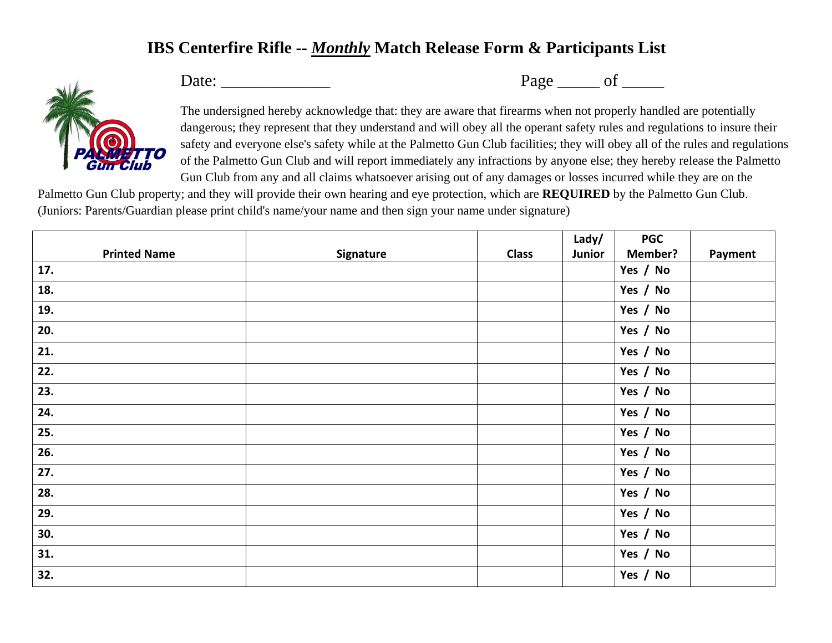## **IBS Centerfire Rifle --** *Monthly* **Match Release Form & Participants List**



Date: \_\_\_\_\_\_\_\_\_\_\_\_\_ Page \_\_\_\_\_ of \_\_\_\_\_

The undersigned hereby acknowledge that: they are aware that firearms when not properly handled are potentially dangerous; they represent that they understand and will obey all the operant safety rules and regulations to insure their safety and everyone else's safety while at the Palmetto Gun Club facilities; they will obey all of the rules and regulations of the Palmetto Gun Club and will report immediately any infractions by anyone else; they hereby release the Palmetto Gun Club from any and all claims whatsoever arising out of any damages or losses incurred while they are on the

Palmetto Gun Club property; and they will provide their own hearing and eye protection, which are **REQUIRED** by the Palmetto Gun Club. (Juniors: Parents/Guardian please print child's name/your name and then sign your name under signature)

|                     |           |              | Lady/  | <b>PGC</b>     |         |
|---------------------|-----------|--------------|--------|----------------|---------|
| <b>Printed Name</b> | Signature | <b>Class</b> | Junior | <b>Member?</b> | Payment |
| 17.                 |           |              |        | Yes / No       |         |
| 18.                 |           |              |        | Yes / No       |         |
| 19.                 |           |              |        | Yes / No       |         |
| 20.                 |           |              |        | Yes / No       |         |
| 21.                 |           |              |        | Yes / No       |         |
| 22.                 |           |              |        | Yes / No       |         |
| 23.                 |           |              |        | Yes / No       |         |
| 24.                 |           |              |        | Yes / No       |         |
| 25.                 |           |              |        | Yes / No       |         |
| 26.                 |           |              |        | Yes / No       |         |
| 27.                 |           |              |        | Yes / No       |         |
| 28.                 |           |              |        | Yes / No       |         |
| 29.                 |           |              |        | Yes / No       |         |
| 30.                 |           |              |        | Yes / No       |         |
| 31.                 |           |              |        | Yes / No       |         |
| 32.                 |           |              |        | Yes / No       |         |